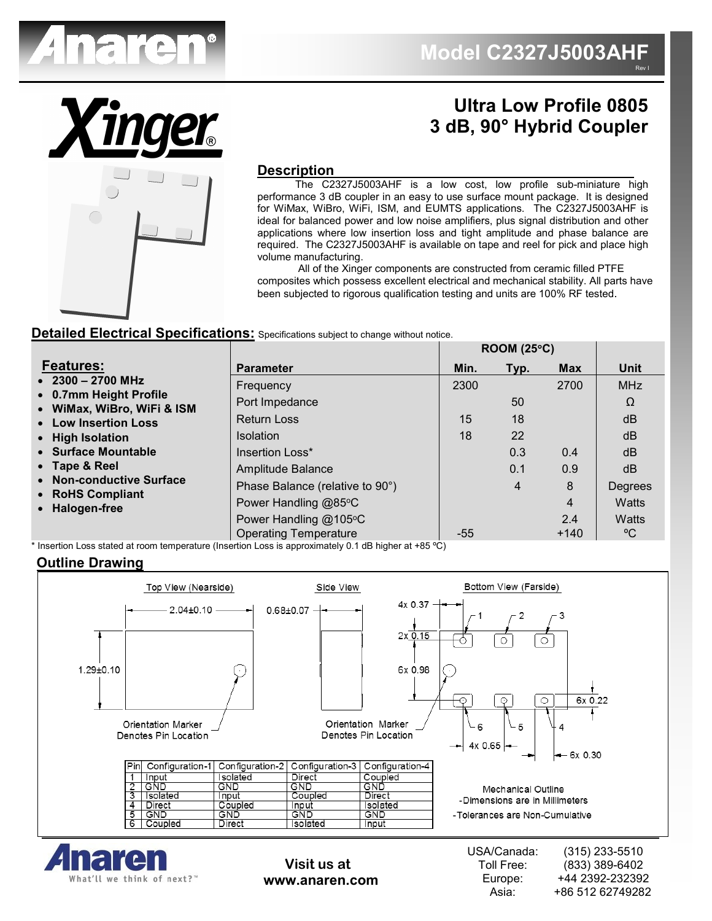

**Ultra Low Profile 0805**

**3 dB, 90° Hybrid Coupler**

**ROOM (25**°**C)**

# **Description**

 The C2327J5003AHF is a low cost, low profile sub-miniature high performance 3 dB coupler in an easy to use surface mount package. It is designed for WiMax, WiBro, WiFi, ISM, and EUMTS applications. The C2327J5003AHF is ideal for balanced power and low noise amplifiers, plus signal distribution and other applications where low insertion loss and tight amplitude and phase balance are required. The C2327J5003AHF is available on tape and reel for pick and place high volume manufacturing.

 All of the Xinger components are constructed from ceramic filled PTFE composites which possess excellent electrical and mechanical stability. All parts have been subjected to rigorous qualification testing and units are 100% RF tested.

### **Detailed Electrical Specifications:** Specifications subject to change without notice.

|                                                      |                                 | KUUM (20°U) |      |            |            |
|------------------------------------------------------|---------------------------------|-------------|------|------------|------------|
| <b>Features:</b>                                     | <b>Parameter</b>                | Min.        | Typ. | <b>Max</b> | Unit       |
| $\bullet$ 2300 - 2700 MHz                            | Frequency                       | 2300        |      | 2700       | <b>MHz</b> |
| • 0.7mm Height Profile<br>• WiMax, WiBro, WiFi & ISM | Port Impedance                  |             | 50   |            | Ω          |
| • Low Insertion Loss                                 | <b>Return Loss</b>              | 15          | 18   |            | dB         |
| • High Isolation                                     | <b>Isolation</b>                | 18          | 22   |            | dB         |
| • Surface Mountable                                  | Insertion Loss*                 |             | 0.3  | 0.4        | dB         |
| • Tape & Reel                                        | Amplitude Balance               |             | 0.1  | 0.9        | dB         |
| • Non-conductive Surface<br>• RoHS Compliant         | Phase Balance (relative to 90°) |             | 4    | 8          | Degrees    |
| • Halogen-free                                       | Power Handling @85°C            |             |      | 4          | Watts      |
|                                                      | Power Handling @105°C           |             |      | 2.4        | Watts      |
|                                                      | <b>Operating Temperature</b>    | -55         |      | $+140$     | °C         |

 $^{\star}$  Insertion Loss stated at room temperature (Insertion Loss is approximately 0.1 dB higher at +85 °C)  $\,$ 

### **Outline Drawing**





**Visit us at www.anaren.com**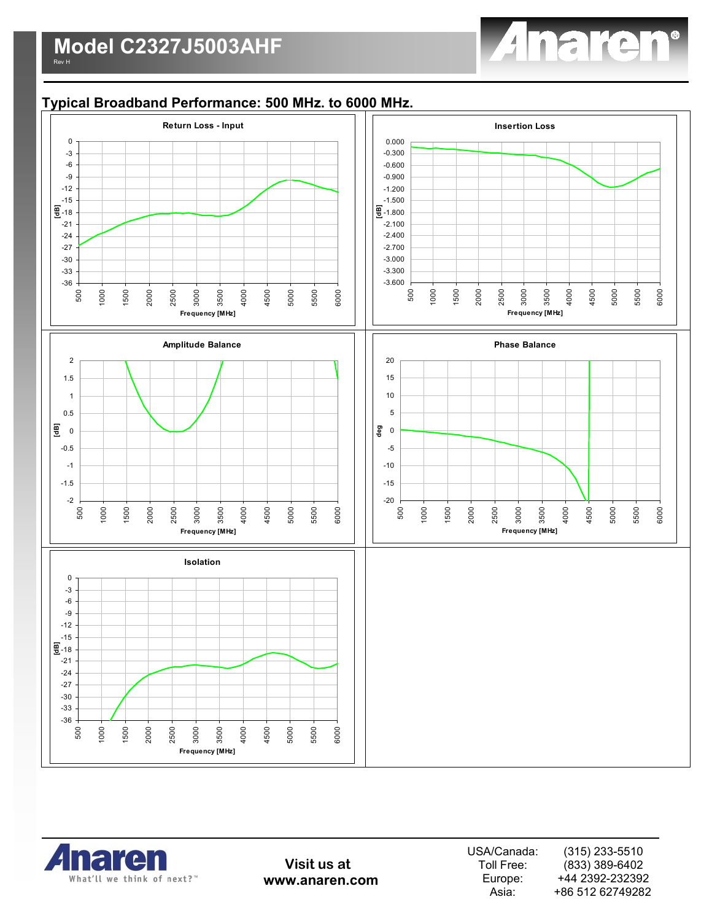

## **Typical Broadband Performance: 500 MHz. to 6000 MHz.**





**Visit us at www.anaren.com**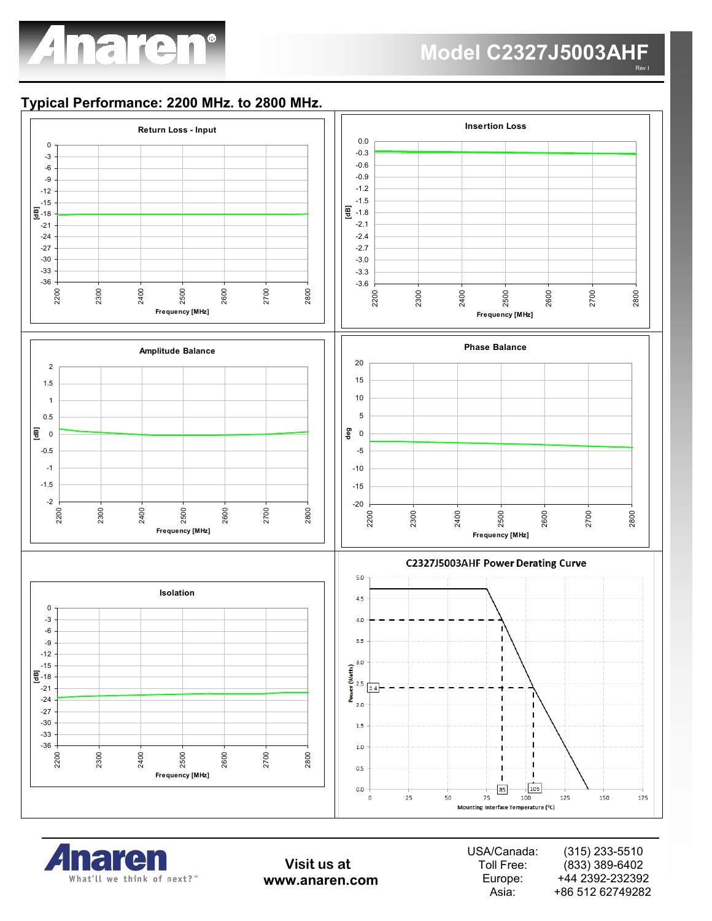

Rev I

### **Typical Performance: 2200 MHz. to 2800 MHz.**





**Visit us at www.anaren.com**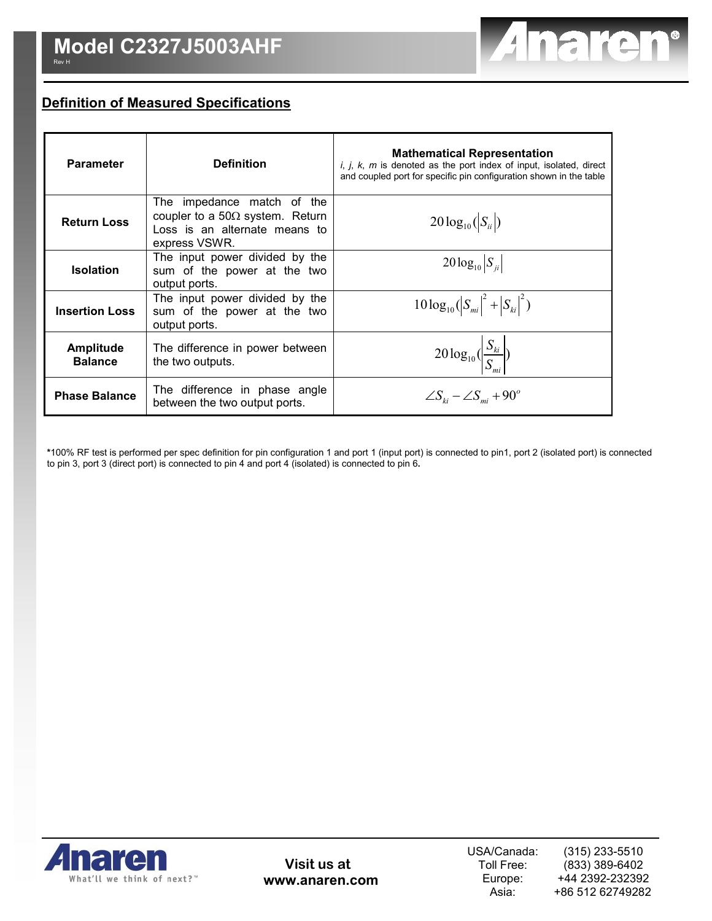

# **Definition of Measured Specifications**

| <b>Parameter</b>                   | <b>Definition</b>                                                                                                       | <b>Mathematical Representation</b><br>i, j, k, m is denoted as the port index of input, isolated, direct<br>and coupled port for specific pin configuration shown in the table |
|------------------------------------|-------------------------------------------------------------------------------------------------------------------------|--------------------------------------------------------------------------------------------------------------------------------------------------------------------------------|
| <b>Return Loss</b>                 | The impedance match of the<br>coupler to a 50 $\Omega$ system. Return<br>Loss is an alternate means to<br>express VSWR. | $20\log_{10}( S_{ii} )$                                                                                                                                                        |
| <b>Isolation</b>                   | The input power divided by the<br>sum of the power at the two<br>output ports.                                          | $20\log_{10} S_{ii} $                                                                                                                                                          |
| <b>Insertion Loss</b>              | The input power divided by the<br>sum of the power at the two<br>output ports.                                          | $10\log_{10}( S_{mi} ^2 +  S_{ki} ^2)$                                                                                                                                         |
| <b>Amplitude</b><br><b>Balance</b> | The difference in power between<br>the two outputs.                                                                     | $20\log_{10}(\frac{S_{ki}}{S})$                                                                                                                                                |
| <b>Phase Balance</b>               | The difference in phase angle<br>between the two output ports.                                                          | $\angle S_{ki} - \angle S_{mi} + 90^\circ$                                                                                                                                     |

**\***100% RF test is performed per spec definition for pin configuration 1 and port 1 (input port) is connected to pin1, port 2 (isolated port) is connected to pin 3, port 3 (direct port) is connected to pin 4 and port 4 (isolated) is connected to pin 6**.** 



**Visit us at www.anaren.com**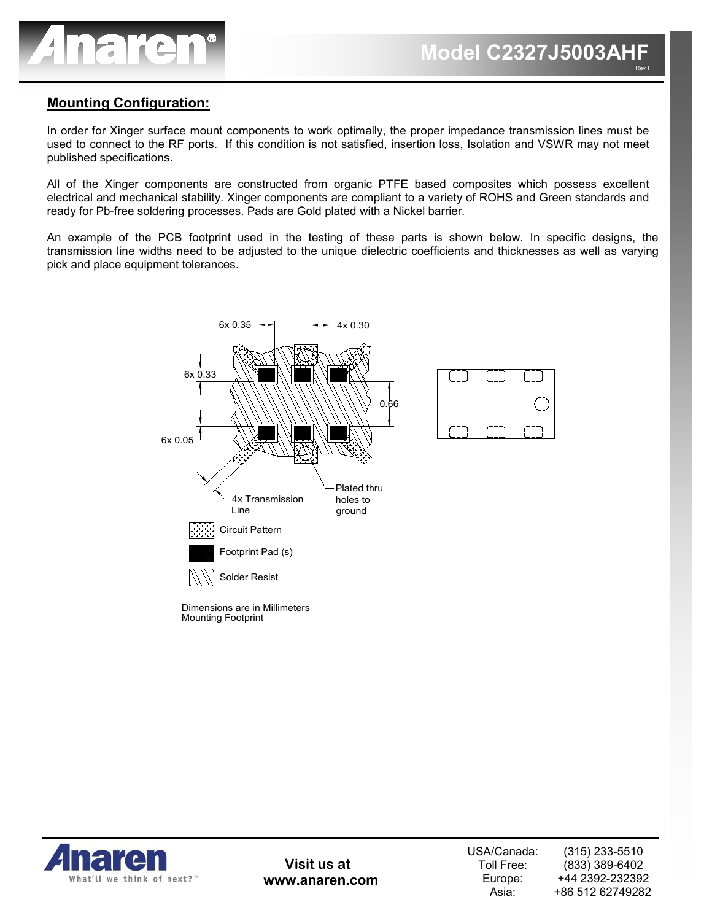

### **Mounting Configuration:**

In order for Xinger surface mount components to work optimally, the proper impedance transmission lines must be used to connect to the RF ports. If this condition is not satisfied, insertion loss, Isolation and VSWR may not meet published specifications.

All of the Xinger components are constructed from organic PTFE based composites which possess excellent electrical and mechanical stability. Xinger components are compliant to a variety of ROHS and Green standards and ready for Pb-free soldering processes. Pads are Gold plated with a Nickel barrier.

An example of the PCB footprint used in the testing of these parts is shown below. In specific designs, the transmission line widths need to be adjusted to the unique dielectric coefficients and thicknesses as well as varying pick and place equipment tolerances.





**Visit us at www.anaren.com**